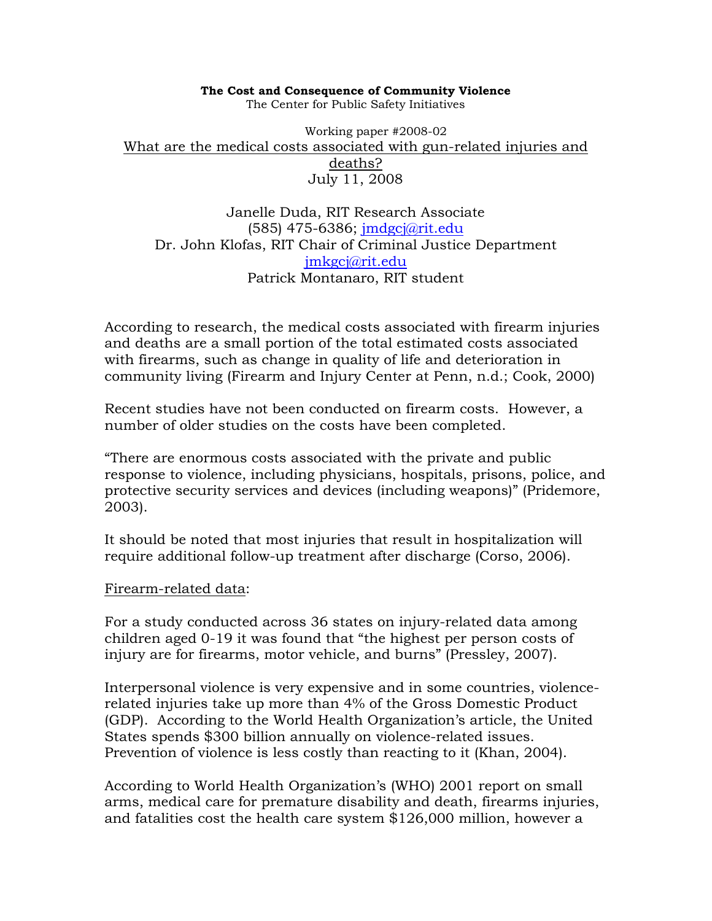#### **The Cost and Consequence of Community Violence**

The Center for Public Safety Initiatives

Working paper #2008-02 What are the medical costs associated with gun-related injuries and deaths? July 11, 2008

Janelle Duda, RIT Research Associate (585) 475-6386; jmdgcj@rit.edu Dr. John Klofas, RIT Chair of Criminal Justice Department jmkgcj@rit.edu Patrick Montanaro, RIT student

According to research, the medical costs associated with firearm injuries and deaths are a small portion of the total estimated costs associated with firearms, such as change in quality of life and deterioration in community living (Firearm and Injury Center at Penn, n.d.; Cook, 2000)

Recent studies have not been conducted on firearm costs. However, a number of older studies on the costs have been completed.

"There are enormous costs associated with the private and public response to violence, including physicians, hospitals, prisons, police, and protective security services and devices (including weapons)" (Pridemore, 2003).

It should be noted that most injuries that result in hospitalization will require additional follow-up treatment after discharge (Corso, 2006).

#### Firearm-related data:

For a study conducted across 36 states on injury-related data among children aged 0-19 it was found that "the highest per person costs of injury are for firearms, motor vehicle, and burns" (Pressley, 2007).

Interpersonal violence is very expensive and in some countries, violencerelated injuries take up more than 4% of the Gross Domestic Product (GDP). According to the World Health Organization's article, the United States spends \$300 billion annually on violence-related issues. Prevention of violence is less costly than reacting to it (Khan, 2004).

According to World Health Organization's (WHO) 2001 report on small arms, medical care for premature disability and death, firearms injuries, and fatalities cost the health care system \$126,000 million, however a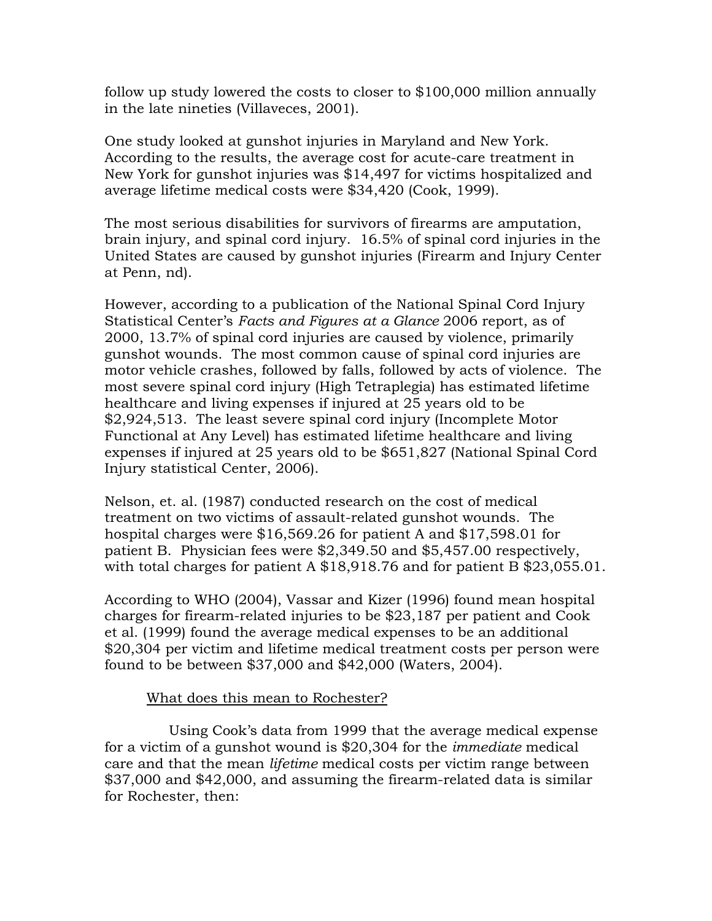follow up study lowered the costs to closer to \$100,000 million annually in the late nineties (Villaveces, 2001).

One study looked at gunshot injuries in Maryland and New York. According to the results, the average cost for acute-care treatment in New York for gunshot injuries was \$14,497 for victims hospitalized and average lifetime medical costs were \$34,420 (Cook, 1999).

The most serious disabilities for survivors of firearms are amputation, brain injury, and spinal cord injury. 16.5% of spinal cord injuries in the United States are caused by gunshot injuries (Firearm and Injury Center at Penn, nd).

However, according to a publication of the National Spinal Cord Injury Statistical Center's *Facts and Figures at a Glance* 2006 report, as of 2000, 13.7% of spinal cord injuries are caused by violence, primarily gunshot wounds. The most common cause of spinal cord injuries are motor vehicle crashes, followed by falls, followed by acts of violence. The most severe spinal cord injury (High Tetraplegia) has estimated lifetime healthcare and living expenses if injured at 25 years old to be \$2,924,513. The least severe spinal cord injury (Incomplete Motor Functional at Any Level) has estimated lifetime healthcare and living expenses if injured at 25 years old to be \$651,827 (National Spinal Cord Injury statistical Center, 2006).

Nelson, et. al. (1987) conducted research on the cost of medical treatment on two victims of assault-related gunshot wounds. The hospital charges were \$16,569.26 for patient A and \$17,598.01 for patient B. Physician fees were \$2,349.50 and \$5,457.00 respectively, with total charges for patient A \$18,918.76 and for patient B \$23,055.01.

According to WHO (2004), Vassar and Kizer (1996) found mean hospital charges for firearm-related injuries to be \$23,187 per patient and Cook et al. (1999) found the average medical expenses to be an additional \$20,304 per victim and lifetime medical treatment costs per person were found to be between \$37,000 and \$42,000 (Waters, 2004).

## What does this mean to Rochester?

 Using Cook's data from 1999 that the average medical expense for a victim of a gunshot wound is \$20,304 for the *immediate* medical care and that the mean *lifetime* medical costs per victim range between \$37,000 and \$42,000, and assuming the firearm-related data is similar for Rochester, then: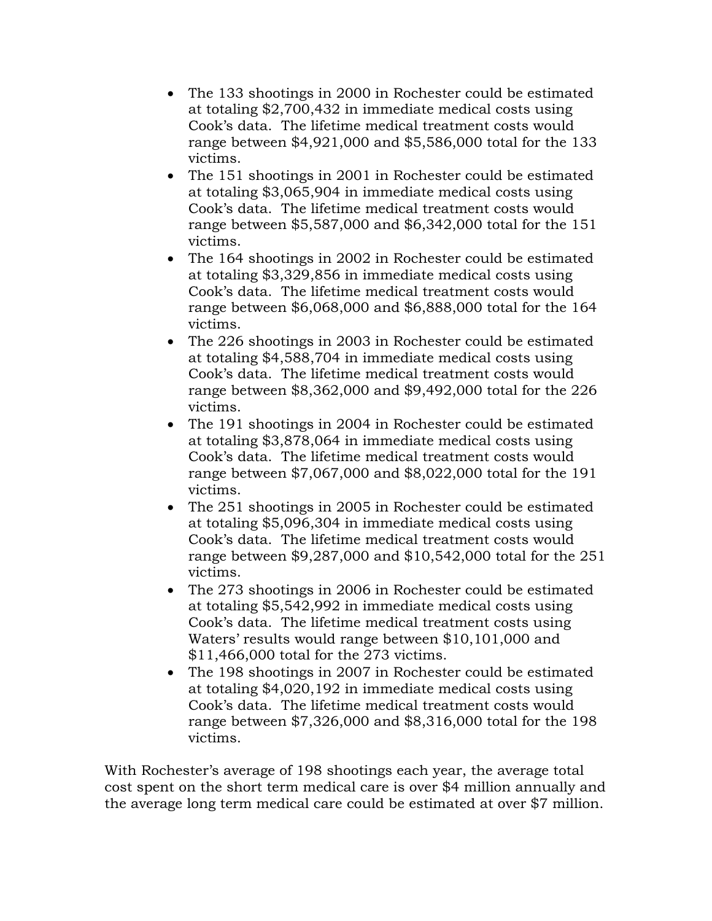- The 133 shootings in 2000 in Rochester could be estimated at totaling \$2,700,432 in immediate medical costs using Cook's data. The lifetime medical treatment costs would range between \$4,921,000 and \$5,586,000 total for the 133 victims.
- The 151 shootings in 2001 in Rochester could be estimated at totaling \$3,065,904 in immediate medical costs using Cook's data. The lifetime medical treatment costs would range between \$5,587,000 and \$6,342,000 total for the 151 victims.
- The 164 shootings in 2002 in Rochester could be estimated at totaling \$3,329,856 in immediate medical costs using Cook's data. The lifetime medical treatment costs would range between \$6,068,000 and \$6,888,000 total for the 164 victims.
- The 226 shootings in 2003 in Rochester could be estimated at totaling \$4,588,704 in immediate medical costs using Cook's data. The lifetime medical treatment costs would range between \$8,362,000 and \$9,492,000 total for the 226 victims.
- The 191 shootings in 2004 in Rochester could be estimated at totaling \$3,878,064 in immediate medical costs using Cook's data. The lifetime medical treatment costs would range between \$7,067,000 and \$8,022,000 total for the 191 victims.
- The 251 shootings in 2005 in Rochester could be estimated at totaling \$5,096,304 in immediate medical costs using Cook's data. The lifetime medical treatment costs would range between \$9,287,000 and \$10,542,000 total for the 251 victims.
- The 273 shootings in 2006 in Rochester could be estimated at totaling \$5,542,992 in immediate medical costs using Cook's data. The lifetime medical treatment costs using Waters' results would range between \$10,101,000 and \$11,466,000 total for the 273 victims.
- The 198 shootings in 2007 in Rochester could be estimated at totaling \$4,020,192 in immediate medical costs using Cook's data. The lifetime medical treatment costs would range between \$7,326,000 and \$8,316,000 total for the 198 victims.

With Rochester's average of 198 shootings each year, the average total cost spent on the short term medical care is over \$4 million annually and the average long term medical care could be estimated at over \$7 million.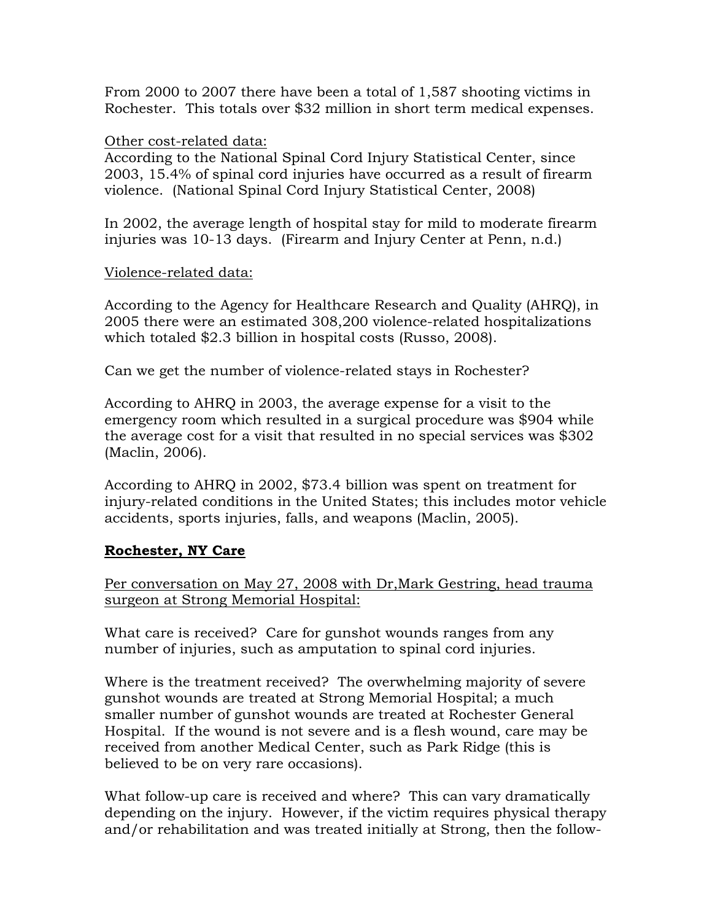From 2000 to 2007 there have been a total of 1,587 shooting victims in Rochester. This totals over \$32 million in short term medical expenses.

## Other cost-related data:

According to the National Spinal Cord Injury Statistical Center, since 2003, 15.4% of spinal cord injuries have occurred as a result of firearm violence. (National Spinal Cord Injury Statistical Center, 2008)

In 2002, the average length of hospital stay for mild to moderate firearm injuries was 10-13 days. (Firearm and Injury Center at Penn, n.d.)

## Violence-related data:

According to the Agency for Healthcare Research and Quality (AHRQ), in 2005 there were an estimated 308,200 violence-related hospitalizations which totaled \$2.3 billion in hospital costs (Russo, 2008).

Can we get the number of violence-related stays in Rochester?

According to AHRQ in 2003, the average expense for a visit to the emergency room which resulted in a surgical procedure was \$904 while the average cost for a visit that resulted in no special services was \$302 (Maclin, 2006).

According to AHRQ in 2002, \$73.4 billion was spent on treatment for injury-related conditions in the United States; this includes motor vehicle accidents, sports injuries, falls, and weapons (Maclin, 2005).

# **Rochester, NY Care**

Per conversation on May 27, 2008 with Dr,Mark Gestring, head trauma surgeon at Strong Memorial Hospital:

What care is received? Care for gunshot wounds ranges from any number of injuries, such as amputation to spinal cord injuries.

Where is the treatment received? The overwhelming majority of severe gunshot wounds are treated at Strong Memorial Hospital; a much smaller number of gunshot wounds are treated at Rochester General Hospital. If the wound is not severe and is a flesh wound, care may be received from another Medical Center, such as Park Ridge (this is believed to be on very rare occasions).

What follow-up care is received and where? This can vary dramatically depending on the injury. However, if the victim requires physical therapy and/or rehabilitation and was treated initially at Strong, then the follow